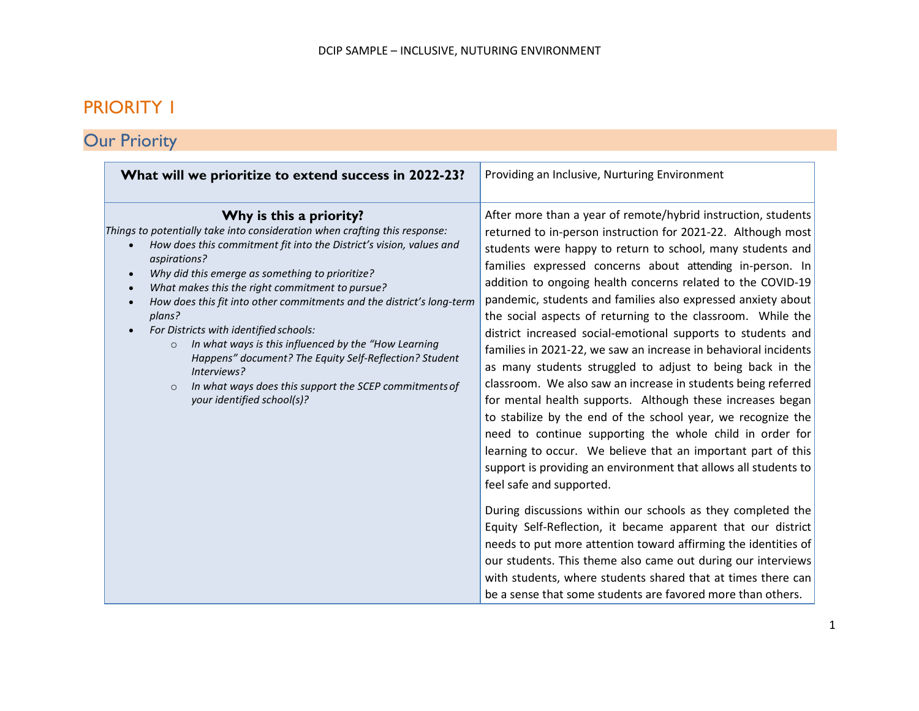### PRIORITY 1

# **Our Priority**

| What will we prioritize to extend success in 2022-23?                                                                                                                                                                                                                                                                                                                                                                                                                                                                                                                                                                                                                                                                              | Providing an Inclusive, Nurturing Environment                                                                                                                                                                                                                                                                                                                                                                                                                                                                                                                                                                                                                                                                                                                                                                                                                                                                                                                                                                                                                                                                                                                                                                                                                                                                                                                                                                                                                                    |
|------------------------------------------------------------------------------------------------------------------------------------------------------------------------------------------------------------------------------------------------------------------------------------------------------------------------------------------------------------------------------------------------------------------------------------------------------------------------------------------------------------------------------------------------------------------------------------------------------------------------------------------------------------------------------------------------------------------------------------|----------------------------------------------------------------------------------------------------------------------------------------------------------------------------------------------------------------------------------------------------------------------------------------------------------------------------------------------------------------------------------------------------------------------------------------------------------------------------------------------------------------------------------------------------------------------------------------------------------------------------------------------------------------------------------------------------------------------------------------------------------------------------------------------------------------------------------------------------------------------------------------------------------------------------------------------------------------------------------------------------------------------------------------------------------------------------------------------------------------------------------------------------------------------------------------------------------------------------------------------------------------------------------------------------------------------------------------------------------------------------------------------------------------------------------------------------------------------------------|
| Why is this a priority?<br>Things to potentially take into consideration when crafting this response:<br>How does this commitment fit into the District's vision, values and<br>$\bullet$<br>aspirations?<br>Why did this emerge as something to prioritize?<br>$\bullet$<br>What makes this the right commitment to pursue?<br>$\bullet$<br>How does this fit into other commitments and the district's long-term<br>$\bullet$<br>plans?<br>For Districts with identified schools:<br>In what ways is this influenced by the "How Learning<br>$\circ$<br>Happens" document? The Equity Self-Reflection? Student<br>Interviews?<br>In what ways does this support the SCEP commitments of<br>$\circ$<br>your identified school(s)? | After more than a year of remote/hybrid instruction, students<br>returned to in-person instruction for 2021-22. Although most<br>students were happy to return to school, many students and<br>families expressed concerns about attending in-person. In<br>addition to ongoing health concerns related to the COVID-19<br>pandemic, students and families also expressed anxiety about<br>the social aspects of returning to the classroom. While the<br>district increased social-emotional supports to students and<br>families in 2021-22, we saw an increase in behavioral incidents<br>as many students struggled to adjust to being back in the<br>classroom. We also saw an increase in students being referred<br>for mental health supports. Although these increases began<br>to stabilize by the end of the school year, we recognize the<br>need to continue supporting the whole child in order for<br>learning to occur. We believe that an important part of this<br>support is providing an environment that allows all students to<br>feel safe and supported.<br>During discussions within our schools as they completed the<br>Equity Self-Reflection, it became apparent that our district<br>needs to put more attention toward affirming the identities of<br>our students. This theme also came out during our interviews<br>with students, where students shared that at times there can<br>be a sense that some students are favored more than others. |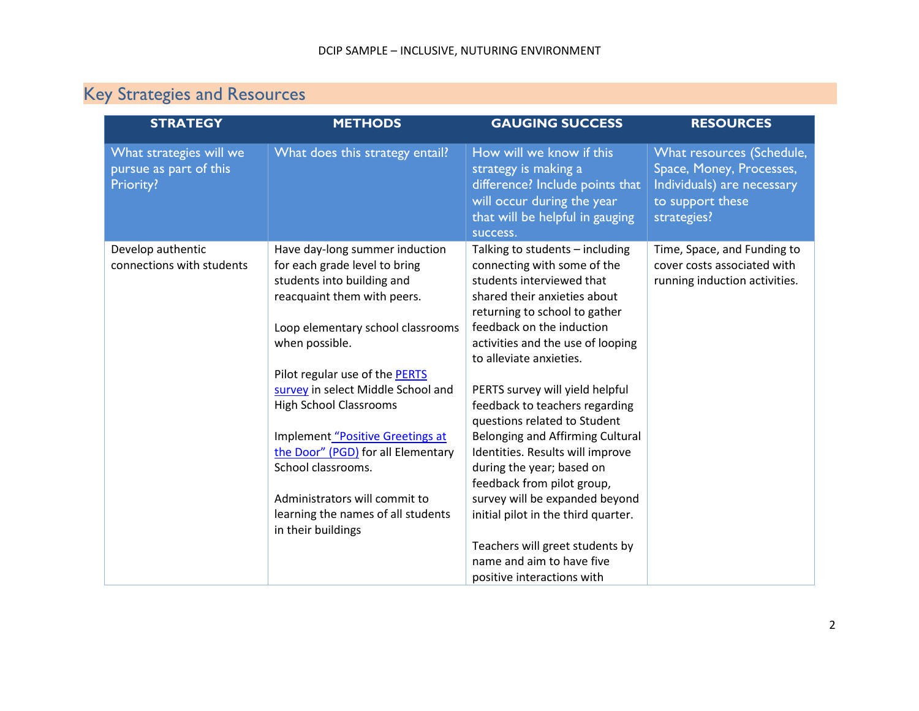## Key Strategies and Resources

| <b>STRATEGY</b>                                                | <b>METHODS</b>                                                                                                                                                                                                                                                                                                                                                                                                                                                                            | <b>GAUGING SUCCESS</b>                                                                                                                                                                                                                                                                                                                                                                                                                                                                                                                                                     | <b>RESOURCES</b>                                                                                                       |
|----------------------------------------------------------------|-------------------------------------------------------------------------------------------------------------------------------------------------------------------------------------------------------------------------------------------------------------------------------------------------------------------------------------------------------------------------------------------------------------------------------------------------------------------------------------------|----------------------------------------------------------------------------------------------------------------------------------------------------------------------------------------------------------------------------------------------------------------------------------------------------------------------------------------------------------------------------------------------------------------------------------------------------------------------------------------------------------------------------------------------------------------------------|------------------------------------------------------------------------------------------------------------------------|
| What strategies will we<br>pursue as part of this<br>Priority? | What does this strategy entail?                                                                                                                                                                                                                                                                                                                                                                                                                                                           | How will we know if this<br>strategy is making a<br>difference? Include points that<br>will occur during the year<br>that will be helpful in gauging<br>success.                                                                                                                                                                                                                                                                                                                                                                                                           | What resources (Schedule,<br>Space, Money, Processes,<br>Individuals) are necessary<br>to support these<br>strategies? |
| Develop authentic<br>connections with students                 | Have day-long summer induction<br>for each grade level to bring<br>students into building and<br>reacquaint them with peers.<br>Loop elementary school classrooms<br>when possible.<br>Pilot regular use of the PERTS<br>survey in select Middle School and<br><b>High School Classrooms</b><br>Implement "Positive Greetings at<br>the Door" (PGD) for all Elementary<br>School classrooms.<br>Administrators will commit to<br>learning the names of all students<br>in their buildings | Talking to students - including<br>connecting with some of the<br>students interviewed that<br>shared their anxieties about<br>returning to school to gather<br>feedback on the induction<br>activities and the use of looping<br>to alleviate anxieties.<br>PERTS survey will yield helpful<br>feedback to teachers regarding<br>questions related to Student<br>Belonging and Affirming Cultural<br>Identities. Results will improve<br>during the year; based on<br>feedback from pilot group,<br>survey will be expanded beyond<br>initial pilot in the third quarter. | Time, Space, and Funding to<br>cover costs associated with<br>running induction activities.                            |
|                                                                |                                                                                                                                                                                                                                                                                                                                                                                                                                                                                           | Teachers will greet students by<br>name and aim to have five<br>positive interactions with                                                                                                                                                                                                                                                                                                                                                                                                                                                                                 |                                                                                                                        |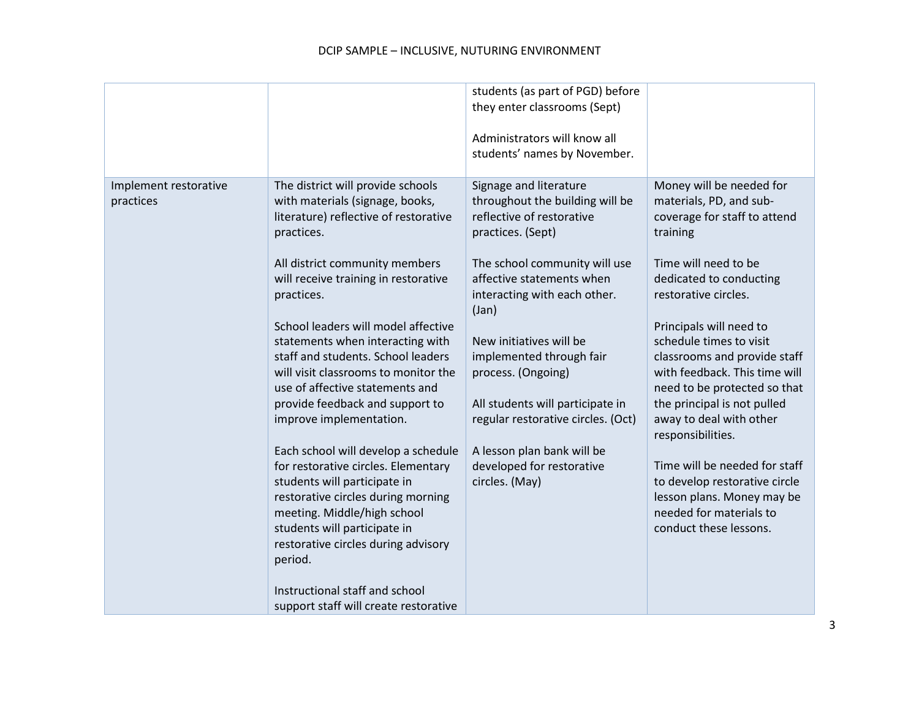|                                    |                                                                                                                                                                                                                                                                                                                                                                                                                                                                                                                                                                                                                                                                                                                                                                                                                               | students (as part of PGD) before<br>they enter classrooms (Sept)<br>Administrators will know all<br>students' names by November.                                                                                                                                                                                                                                                                                                                       |                                                                                                                                                                                                                                                                                                                                                                                                                                                                                                                                                                       |
|------------------------------------|-------------------------------------------------------------------------------------------------------------------------------------------------------------------------------------------------------------------------------------------------------------------------------------------------------------------------------------------------------------------------------------------------------------------------------------------------------------------------------------------------------------------------------------------------------------------------------------------------------------------------------------------------------------------------------------------------------------------------------------------------------------------------------------------------------------------------------|--------------------------------------------------------------------------------------------------------------------------------------------------------------------------------------------------------------------------------------------------------------------------------------------------------------------------------------------------------------------------------------------------------------------------------------------------------|-----------------------------------------------------------------------------------------------------------------------------------------------------------------------------------------------------------------------------------------------------------------------------------------------------------------------------------------------------------------------------------------------------------------------------------------------------------------------------------------------------------------------------------------------------------------------|
| Implement restorative<br>practices | The district will provide schools<br>with materials (signage, books,<br>literature) reflective of restorative<br>practices.<br>All district community members<br>will receive training in restorative<br>practices.<br>School leaders will model affective<br>statements when interacting with<br>staff and students. School leaders<br>will visit classrooms to monitor the<br>use of affective statements and<br>provide feedback and support to<br>improve implementation.<br>Each school will develop a schedule<br>for restorative circles. Elementary<br>students will participate in<br>restorative circles during morning<br>meeting. Middle/high school<br>students will participate in<br>restorative circles during advisory<br>period.<br>Instructional staff and school<br>support staff will create restorative | Signage and literature<br>throughout the building will be<br>reflective of restorative<br>practices. (Sept)<br>The school community will use<br>affective statements when<br>interacting with each other.<br>(Jan)<br>New initiatives will be<br>implemented through fair<br>process. (Ongoing)<br>All students will participate in<br>regular restorative circles. (Oct)<br>A lesson plan bank will be<br>developed for restorative<br>circles. (May) | Money will be needed for<br>materials, PD, and sub-<br>coverage for staff to attend<br>training<br>Time will need to be<br>dedicated to conducting<br>restorative circles.<br>Principals will need to<br>schedule times to visit<br>classrooms and provide staff<br>with feedback. This time will<br>need to be protected so that<br>the principal is not pulled<br>away to deal with other<br>responsibilities.<br>Time will be needed for staff<br>to develop restorative circle<br>lesson plans. Money may be<br>needed for materials to<br>conduct these lessons. |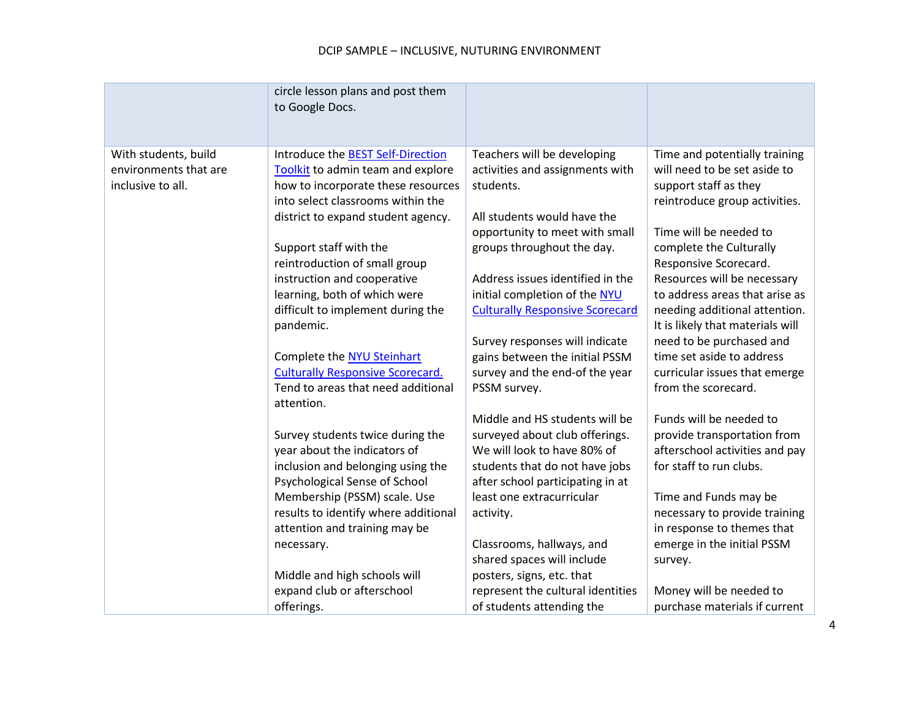#### DCIP SAMPLE – INCLUSIVE, NUTURING ENVIRONMENT

|                                                                    | circle lesson plans and post them<br>to Google Docs.                                                                                                                                                                                                                                                                                                                                                                                                |                                                                                                                                                                                                                                                                                                                                                                                                 |                                                                                                                                                                                                                                                                                                                                                                                                                                       |
|--------------------------------------------------------------------|-----------------------------------------------------------------------------------------------------------------------------------------------------------------------------------------------------------------------------------------------------------------------------------------------------------------------------------------------------------------------------------------------------------------------------------------------------|-------------------------------------------------------------------------------------------------------------------------------------------------------------------------------------------------------------------------------------------------------------------------------------------------------------------------------------------------------------------------------------------------|---------------------------------------------------------------------------------------------------------------------------------------------------------------------------------------------------------------------------------------------------------------------------------------------------------------------------------------------------------------------------------------------------------------------------------------|
| With students, build<br>environments that are<br>inclusive to all. | Introduce the <b>BEST Self-Direction</b><br>Toolkit to admin team and explore<br>how to incorporate these resources<br>into select classrooms within the<br>district to expand student agency.<br>Support staff with the<br>reintroduction of small group<br>instruction and cooperative<br>learning, both of which were<br>difficult to implement during the<br>pandemic.<br>Complete the NYU Steinhart<br><b>Culturally Responsive Scorecard.</b> | Teachers will be developing<br>activities and assignments with<br>students.<br>All students would have the<br>opportunity to meet with small<br>groups throughout the day.<br>Address issues identified in the<br>initial completion of the NYU<br><b>Culturally Responsive Scorecard</b><br>Survey responses will indicate<br>gains between the initial PSSM<br>survey and the end-of the year | Time and potentially training<br>will need to be set aside to<br>support staff as they<br>reintroduce group activities.<br>Time will be needed to<br>complete the Culturally<br>Responsive Scorecard.<br>Resources will be necessary<br>to address areas that arise as<br>needing additional attention.<br>It is likely that materials will<br>need to be purchased and<br>time set aside to address<br>curricular issues that emerge |
|                                                                    | Tend to areas that need additional<br>attention.                                                                                                                                                                                                                                                                                                                                                                                                    | PSSM survey.                                                                                                                                                                                                                                                                                                                                                                                    | from the scorecard.                                                                                                                                                                                                                                                                                                                                                                                                                   |
|                                                                    | Survey students twice during the<br>year about the indicators of<br>inclusion and belonging using the<br>Psychological Sense of School                                                                                                                                                                                                                                                                                                              | Middle and HS students will be<br>surveyed about club offerings.<br>We will look to have 80% of<br>students that do not have jobs<br>after school participating in at                                                                                                                                                                                                                           | Funds will be needed to<br>provide transportation from<br>afterschool activities and pay<br>for staff to run clubs.                                                                                                                                                                                                                                                                                                                   |
|                                                                    | Membership (PSSM) scale. Use<br>results to identify where additional<br>attention and training may be                                                                                                                                                                                                                                                                                                                                               | least one extracurricular<br>activity.                                                                                                                                                                                                                                                                                                                                                          | Time and Funds may be<br>necessary to provide training<br>in response to themes that                                                                                                                                                                                                                                                                                                                                                  |
|                                                                    | necessary.<br>Middle and high schools will                                                                                                                                                                                                                                                                                                                                                                                                          | Classrooms, hallways, and<br>shared spaces will include<br>posters, signs, etc. that                                                                                                                                                                                                                                                                                                            | emerge in the initial PSSM<br>survey.                                                                                                                                                                                                                                                                                                                                                                                                 |
|                                                                    | expand club or afterschool<br>offerings.                                                                                                                                                                                                                                                                                                                                                                                                            | represent the cultural identities<br>of students attending the                                                                                                                                                                                                                                                                                                                                  | Money will be needed to<br>purchase materials if current                                                                                                                                                                                                                                                                                                                                                                              |